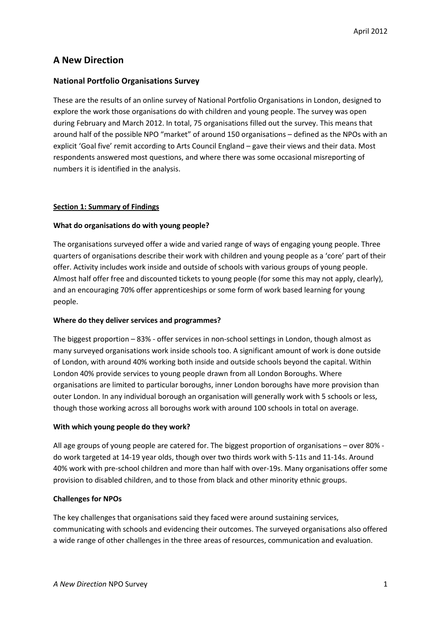# **A New Direction**

# **National Portfolio Organisations Survey**

These are the results of an online survey of National Portfolio Organisations in London, designed to explore the work those organisations do with children and young people. The survey was open during February and March 2012. In total, 75 organisations filled out the survey. This means that around half of the possible NPO "market" of around 150 organisations – defined as the NPOs with an explicit 'Goal five' remit according to Arts Council England – gave their views and their data. Most respondents answered most questions, and where there was some occasional misreporting of numbers it is identified in the analysis.

# **Section 1: Summary of Findings**

# **What do organisations do with young people?**

The organisations surveyed offer a wide and varied range of ways of engaging young people. Three quarters of organisations describe their work with children and young people as a 'core' part of their offer. Activity includes work inside and outside of schools with various groups of young people. Almost half offer free and discounted tickets to young people (for some this may not apply, clearly), and an encouraging 70% offer apprenticeships or some form of work based learning for young people.

# **Where do they deliver services and programmes?**

The biggest proportion – 83% - offer services in non-school settings in London, though almost as many surveyed organisations work inside schools too. A significant amount of work is done outside of London, with around 40% working both inside and outside schools beyond the capital. Within London 40% provide services to young people drawn from all London Boroughs. Where organisations are limited to particular boroughs, inner London boroughs have more provision than outer London. In any individual borough an organisation will generally work with 5 schools or less, though those working across all boroughs work with around 100 schools in total on average.

# **With which young people do they work?**

All age groups of young people are catered for. The biggest proportion of organisations – over 80% do work targeted at 14-19 year olds, though over two thirds work with 5-11s and 11-14s. Around 40% work with pre-school children and more than half with over-19s. Many organisations offer some provision to disabled children, and to those from black and other minority ethnic groups.

# **Challenges for NPOs**

The key challenges that organisations said they faced were around sustaining services, communicating with schools and evidencing their outcomes. The surveyed organisations also offered a wide range of other challenges in the three areas of resources, communication and evaluation.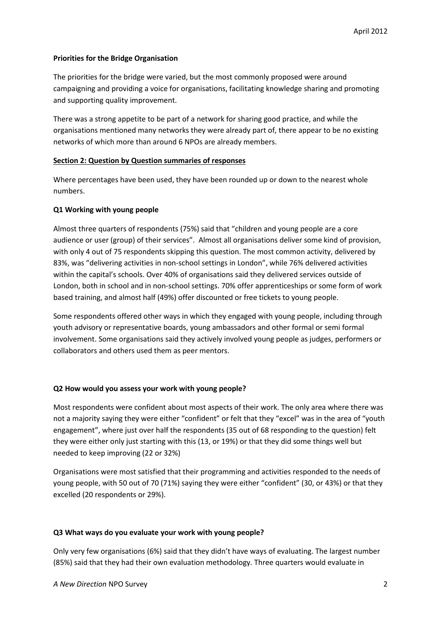### **Priorities for the Bridge Organisation**

The priorities for the bridge were varied, but the most commonly proposed were around campaigning and providing a voice for organisations, facilitating knowledge sharing and promoting and supporting quality improvement.

There was a strong appetite to be part of a network for sharing good practice, and while the organisations mentioned many networks they were already part of, there appear to be no existing networks of which more than around 6 NPOs are already members.

### **Section 2: Question by Question summaries of responses**

Where percentages have been used, they have been rounded up or down to the nearest whole numbers.

### **Q1 Working with young people**

Almost three quarters of respondents (75%) said that "children and young people are a core audience or user (group) of their services". Almost all organisations deliver some kind of provision, with only 4 out of 75 respondents skipping this question. The most common activity, delivered by 83%, was "delivering activities in non-school settings in London", while 76% delivered activities within the capital's schools. Over 40% of organisations said they delivered services outside of London, both in school and in non-school settings. 70% offer apprenticeships or some form of work based training, and almost half (49%) offer discounted or free tickets to young people.

Some respondents offered other ways in which they engaged with young people, including through youth advisory or representative boards, young ambassadors and other formal or semi formal involvement. Some organisations said they actively involved young people as judges, performers or collaborators and others used them as peer mentors.

# **Q2 How would you assess your work with young people?**

Most respondents were confident about most aspects of their work. The only area where there was not a majority saying they were either "confident" or felt that they "excel" was in the area of "youth engagement", where just over half the respondents (35 out of 68 responding to the question) felt they were either only just starting with this (13, or 19%) or that they did some things well but needed to keep improving (22 or 32%)

Organisations were most satisfied that their programming and activities responded to the needs of young people, with 50 out of 70 (71%) saying they were either "confident" (30, or 43%) or that they excelled (20 respondents or 29%).

#### **Q3 What ways do you evaluate your work with young people?**

Only very few organisations (6%) said that they didn't have ways of evaluating. The largest number (85%) said that they had their own evaluation methodology. Three quarters would evaluate in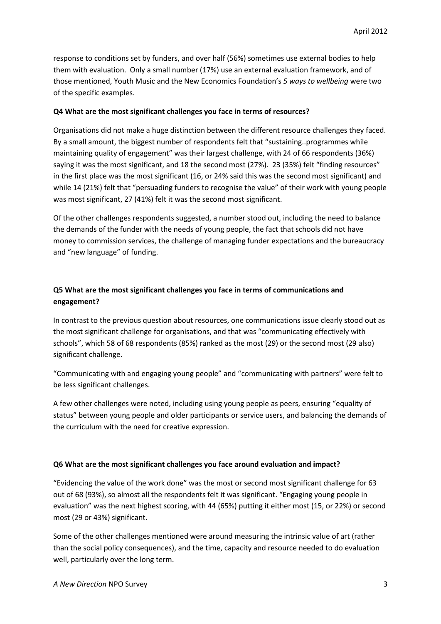response to conditions set by funders, and over half (56%) sometimes use external bodies to help them with evaluation. Only a small number (17%) use an external evaluation framework, and of those mentioned, Youth Music and the New Economics Foundation's *5 ways to wellbeing* were two of the specific examples.

#### **Q4 What are the most significant challenges you face in terms of resources?**

Organisations did not make a huge distinction between the different resource challenges they faced. By a small amount, the biggest number of respondents felt that "sustaining..programmes while maintaining quality of engagement" was their largest challenge, with 24 of 66 respondents (36%) saying it was the most significant, and 18 the second most (27%). 23 (35%) felt "finding resources" in the first place was the most significant (16, or 24% said this was the second most significant) and while 14 (21%) felt that "persuading funders to recognise the value" of their work with young people was most significant, 27 (41%) felt it was the second most significant.

Of the other challenges respondents suggested, a number stood out, including the need to balance the demands of the funder with the needs of young people, the fact that schools did not have money to commission services, the challenge of managing funder expectations and the bureaucracy and "new language" of funding.

# **Q5 What are the most significant challenges you face in terms of communications and engagement?**

In contrast to the previous question about resources, one communications issue clearly stood out as the most significant challenge for organisations, and that was "communicating effectively with schools", which 58 of 68 respondents (85%) ranked as the most (29) or the second most (29 also) significant challenge.

"Communicating with and engaging young people" and "communicating with partners" were felt to be less significant challenges.

A few other challenges were noted, including using young people as peers, ensuring "equality of status" between young people and older participants or service users, and balancing the demands of the curriculum with the need for creative expression.

#### **Q6 What are the most significant challenges you face around evaluation and impact?**

"Evidencing the value of the work done" was the most or second most significant challenge for 63 out of 68 (93%), so almost all the respondents felt it was significant. "Engaging young people in evaluation" was the next highest scoring, with 44 (65%) putting it either most (15, or 22%) or second most (29 or 43%) significant.

Some of the other challenges mentioned were around measuring the intrinsic value of art (rather than the social policy consequences), and the time, capacity and resource needed to do evaluation well, particularly over the long term.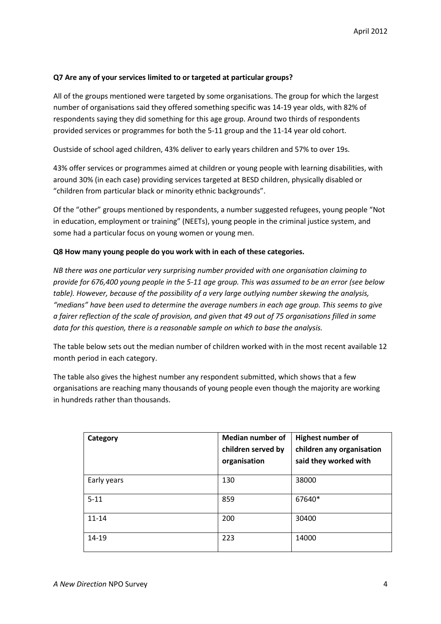### **Q7 Are any of your services limited to or targeted at particular groups?**

All of the groups mentioned were targeted by some organisations. The group for which the largest number of organisations said they offered something specific was 14-19 year olds, with 82% of respondents saying they did something for this age group. Around two thirds of respondents provided services or programmes for both the 5-11 group and the 11-14 year old cohort.

Oustside of school aged children, 43% deliver to early years children and 57% to over 19s.

43% offer services or programmes aimed at children or young people with learning disabilities, with around 30% (in each case) providing services targeted at BESD children, physically disabled or "children from particular black or minority ethnic backgrounds".

Of the "other" groups mentioned by respondents, a number suggested refugees, young people "Not in education, employment or training" (NEETs), young people in the criminal justice system, and some had a particular focus on young women or young men.

### **Q8 How many young people do you work with in each of these categories.**

*NB there was one particular very surprising number provided with one organisation claiming to provide for 676,400 young people in the 5-11 age group. This was assumed to be an error (see below table). However, because of the possibility of a very large outlying number skewing the analysis, "medians" have been used to determine the average numbers in each age group. This seems to give a fairer reflection of the scale of provision, and given that 49 out of 75 organisations filled in some data for this question, there is a reasonable sample on which to base the analysis.*

The table below sets out the median number of children worked with in the most recent available 12 month period in each category.

The table also gives the highest number any respondent submitted, which shows that a few organisations are reaching many thousands of young people even though the majority are working in hundreds rather than thousands.

| Category    | <b>Median number of</b><br>children served by<br>organisation | Highest number of<br>children any organisation<br>said they worked with |
|-------------|---------------------------------------------------------------|-------------------------------------------------------------------------|
| Early years | 130                                                           | 38000                                                                   |
| $5 - 11$    | 859                                                           | 67640*                                                                  |
| $11 - 14$   | 200                                                           | 30400                                                                   |
| 14-19       | 223                                                           | 14000                                                                   |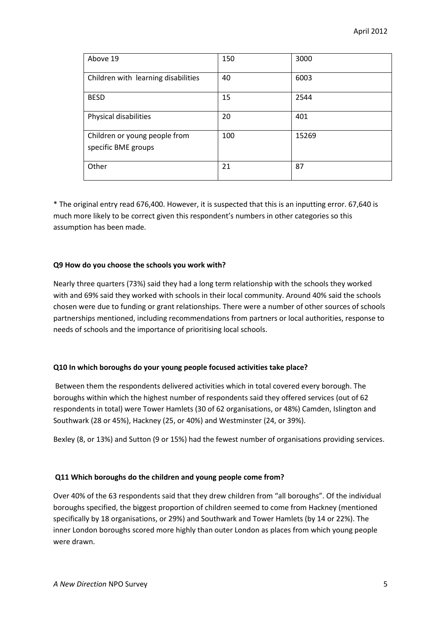| Above 19                                             | 150 | 3000  |
|------------------------------------------------------|-----|-------|
| Children with learning disabilities                  | 40  | 6003  |
| <b>BESD</b>                                          | 15  | 2544  |
| Physical disabilities                                | 20  | 401   |
| Children or young people from<br>specific BME groups | 100 | 15269 |
| Other                                                | 21  | 87    |

\* The original entry read 676,400. However, it is suspected that this is an inputting error. 67,640 is much more likely to be correct given this respondent's numbers in other categories so this assumption has been made.

### **Q9 How do you choose the schools you work with?**

Nearly three quarters (73%) said they had a long term relationship with the schools they worked with and 69% said they worked with schools in their local community. Around 40% said the schools chosen were due to funding or grant relationships. There were a number of other sources of schools partnerships mentioned, including recommendations from partners or local authorities, response to needs of schools and the importance of prioritising local schools.

# **Q10 In which boroughs do your young people focused activities take place?**

Between them the respondents delivered activities which in total covered every borough. The boroughs within which the highest number of respondents said they offered services (out of 62 respondents in total) were Tower Hamlets (30 of 62 organisations, or 48%) Camden, Islington and Southwark (28 or 45%), Hackney (25, or 40%) and Westminster (24, or 39%).

Bexley (8, or 13%) and Sutton (9 or 15%) had the fewest number of organisations providing services.

#### **Q11 Which boroughs do the children and young people come from?**

Over 40% of the 63 respondents said that they drew children from "all boroughs". Of the individual boroughs specified, the biggest proportion of children seemed to come from Hackney (mentioned specifically by 18 organisations, or 29%) and Southwark and Tower Hamlets (by 14 or 22%). The inner London boroughs scored more highly than outer London as places from which young people were drawn.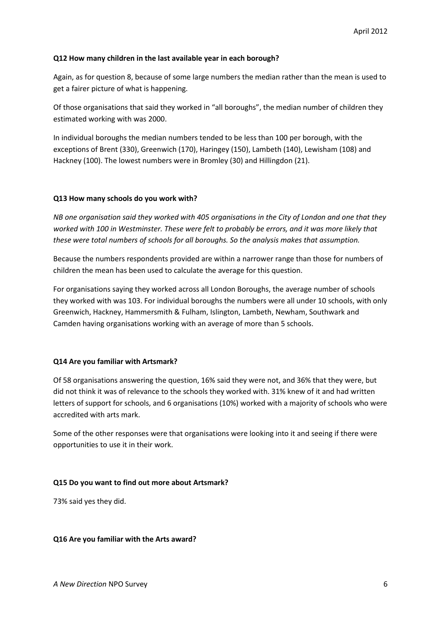#### **Q12 How many children in the last available year in each borough?**

Again, as for question 8, because of some large numbers the median rather than the mean is used to get a fairer picture of what is happening.

Of those organisations that said they worked in "all boroughs", the median number of children they estimated working with was 2000.

In individual boroughs the median numbers tended to be less than 100 per borough, with the exceptions of Brent (330), Greenwich (170), Haringey (150), Lambeth (140), Lewisham (108) and Hackney (100). The lowest numbers were in Bromley (30) and Hillingdon (21).

#### **Q13 How many schools do you work with?**

*NB one organisation said they worked with 405 organisations in the City of London and one that they worked with 100 in Westminster. These were felt to probably be errors, and it was more likely that these were total numbers of schools for all boroughs. So the analysis makes that assumption.*

Because the numbers respondents provided are within a narrower range than those for numbers of children the mean has been used to calculate the average for this question.

For organisations saying they worked across all London Boroughs, the average number of schools they worked with was 103. For individual boroughs the numbers were all under 10 schools, with only Greenwich, Hackney, Hammersmith & Fulham, Islington, Lambeth, Newham, Southwark and Camden having organisations working with an average of more than 5 schools.

#### **Q14 Are you familiar with Artsmark?**

Of 58 organisations answering the question, 16% said they were not, and 36% that they were, but did not think it was of relevance to the schools they worked with. 31% knew of it and had written letters of support for schools, and 6 organisations (10%) worked with a majority of schools who were accredited with arts mark.

Some of the other responses were that organisations were looking into it and seeing if there were opportunities to use it in their work.

#### **Q15 Do you want to find out more about Artsmark?**

73% said yes they did.

#### **Q16 Are you familiar with the Arts award?**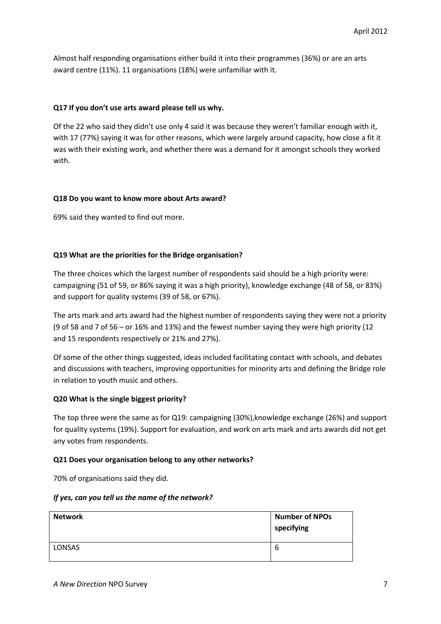Almost half responding organisations either build it into their programmes (36%) or are an arts award centre (11%). 11 organisations (18%) were unfamiliar with it.

### **Q17 If you don't use arts award please tell us why.**

Of the 22 who said they didn't use only 4 said it was because they weren't familiar enough with it, with 17 (77%) saying it was for other reasons, which were largely around capacity, how close a fit it was with their existing work, and whether there was a demand for it amongst schools they worked with.

#### **Q18 Do you want to know more about Arts award?**

69% said they wanted to find out more.

### **Q19 What are the priorities for the Bridge organisation?**

The three choices which the largest number of respondents said should be a high priority were: campaigning (51 of 59, or 86% saying it was a high priority), knowledge exchange (48 of 58, or 83%) and support for quality systems (39 of 58, or 67%).

The arts mark and arts award had the highest number of respondents saying they were not a priority (9 of 58 and 7 of 56 – or 16% and 13%) and the fewest number saying they were high priority (12 and 15 respondents respectively or 21% and 27%).

Of some of the other things suggested, ideas included facilitating contact with schools, and debates and discussions with teachers, improving opportunities for minority arts and defining the Bridge role in relation to youth music and others.

#### **Q20 What is the single biggest priority?**

The top three were the same as for Q19: campaigning (30%),knowledge exchange (26%) and support for quality systems (19%). Support for evaluation, and work on arts mark and arts awards did not get any votes from respondents.

#### **Q21 Does your organisation belong to any other networks?**

70% of organisations said they did.

#### *If yes, can you tell us the name of the network?*

| <b>Network</b> | <b>Number of NPOs</b><br>specifying |
|----------------|-------------------------------------|
| <b>LONSAS</b>  | b                                   |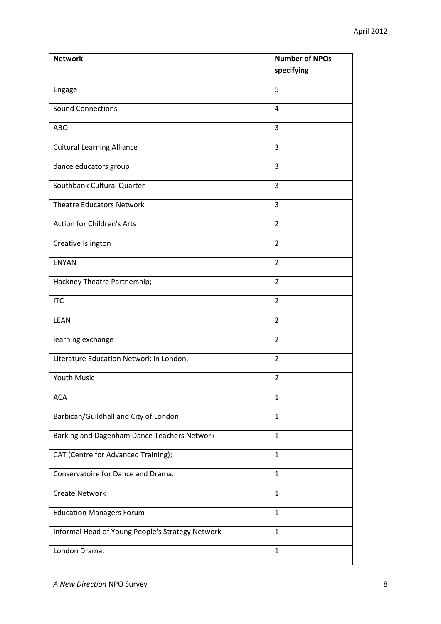| <b>Network</b>                                   | <b>Number of NPOs</b> |
|--------------------------------------------------|-----------------------|
|                                                  | specifying            |
| Engage                                           | 5                     |
| <b>Sound Connections</b>                         | 4                     |
| <b>ABO</b>                                       | 3                     |
| <b>Cultural Learning Alliance</b>                | 3                     |
| dance educators group                            | 3                     |
| Southbank Cultural Quarter                       | 3                     |
| <b>Theatre Educators Network</b>                 | 3                     |
| <b>Action for Children's Arts</b>                | $\overline{2}$        |
| Creative Islington                               | $\overline{2}$        |
| <b>ENYAN</b>                                     | $\overline{2}$        |
| Hackney Theatre Partnership;                     | $\overline{2}$        |
| <b>ITC</b>                                       | $\overline{2}$        |
| LEAN                                             | $\overline{2}$        |
| learning exchange                                | $\overline{2}$        |
| Literature Education Network in London.          | $\overline{2}$        |
| Youth Music                                      | $\overline{2}$        |
| <b>ACA</b>                                       | 1                     |
| Barbican/Guildhall and City of London            | $\mathbf{1}$          |
| Barking and Dagenham Dance Teachers Network      | $\mathbf{1}$          |
| CAT (Centre for Advanced Training);              | 1                     |
| Conservatoire for Dance and Drama.               | $\mathbf{1}$          |
| <b>Create Network</b>                            | $\mathbf{1}$          |
| <b>Education Managers Forum</b>                  | 1                     |
| Informal Head of Young People's Strategy Network | $\mathbf{1}$          |
| London Drama.                                    | $\mathbf{1}$          |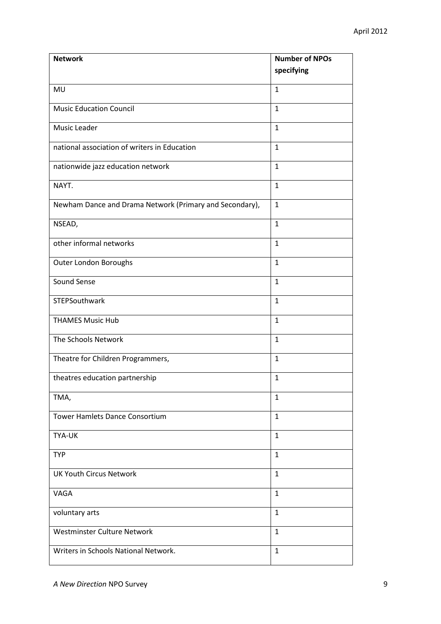| <b>Network</b>                                          | <b>Number of NPOs</b> |
|---------------------------------------------------------|-----------------------|
|                                                         | specifying            |
| MU                                                      | $\mathbf{1}$          |
| <b>Music Education Council</b>                          | $\mathbf{1}$          |
| Music Leader                                            | $\mathbf{1}$          |
| national association of writers in Education            | $\mathbf{1}$          |
| nationwide jazz education network                       | $\mathbf{1}$          |
| NAYT.                                                   | $\mathbf{1}$          |
| Newham Dance and Drama Network (Primary and Secondary), | $\mathbf{1}$          |
| NSEAD,                                                  | $\mathbf{1}$          |
| other informal networks                                 | $\mathbf{1}$          |
| Outer London Boroughs                                   | $\mathbf{1}$          |
| Sound Sense                                             | $\mathbf{1}$          |
| STEPSouthwark                                           | $\mathbf{1}$          |
| <b>THAMES Music Hub</b>                                 | $\mathbf{1}$          |
| The Schools Network                                     | $\mathbf{1}$          |
| Theatre for Children Programmers,                       | $\mathbf{1}$          |
| theatres education partnership                          | $\mathbf{1}$          |
| TMA,                                                    | 1                     |
| <b>Tower Hamlets Dance Consortium</b>                   | $\mathbf{1}$          |
| <b>TYA-UK</b>                                           | $\mathbf{1}$          |
| <b>TYP</b>                                              | 1                     |
| <b>UK Youth Circus Network</b>                          | $\mathbf{1}$          |
| VAGA                                                    | $\mathbf{1}$          |
| voluntary arts                                          | 1                     |
| Westminster Culture Network                             | $\mathbf{1}$          |
| Writers in Schools National Network.                    | $\mathbf{1}$          |